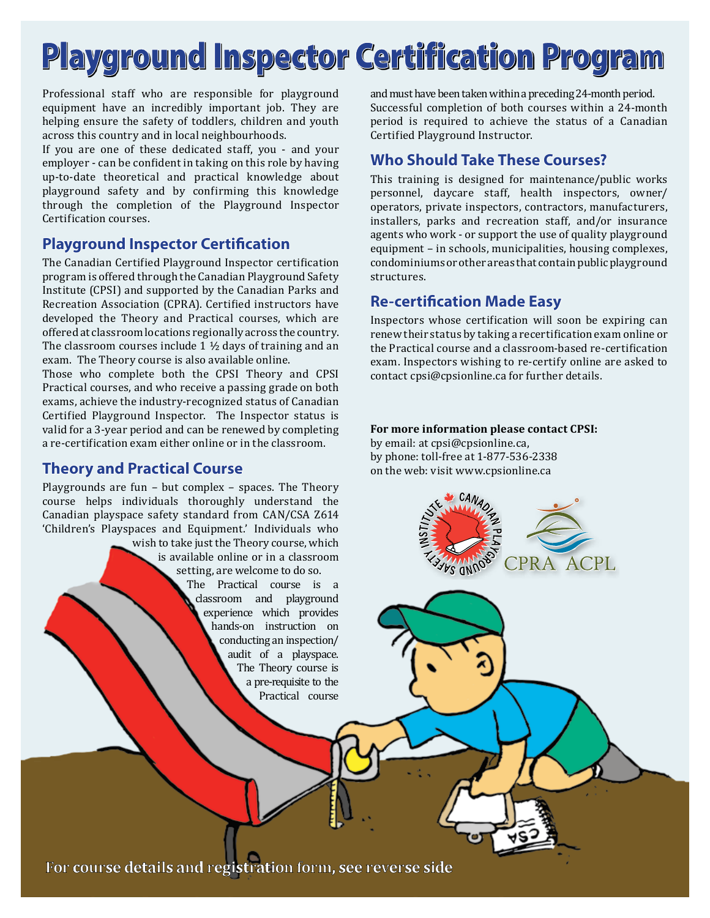# **Playground Inspector Certification Program**

Professional staff who are responsible for playground equipment have an incredibly important job. They are helping ensure the safety of toddlers, children and youth across this country and in local neighbourhoods.

If you are one of these dedicated staff, you - and your employer - can be confident in taking on this role by having up-to-date theoretical and practical knowledge about playground safety and by confirming this knowledge through the completion of the Playground Inspector Certification courses.

# **Playground Inspector Certification**

The Canadian Certified Playground Inspector certification program is offered through the Canadian Playground Safety Institute (CPSI) and supported by the Canadian Parks and Recreation Association (CPRA). Certified instructors have developed the Theory and Practical courses, which are offered at classroom locations regionally across the country. The classroom courses include 1 ½ days of training and an exam. The Theory course is also available online.

Those who complete both the CPSI Theory and CPSI Practical courses, and who receive a passing grade on both exams, achieve the industry-recognized status of Canadian Certified Playground Inspector. The Inspector status is valid for a 3-year period and can be renewed by completing a re-certification exam either online or in the classroom.

# **Theory and Practical Course**

Playgrounds are fun – but complex – spaces. The Theory course helps individuals thoroughly understand the Canadian playspace safety standard from CAN/CSA Z614 'Children's Playspaces and Equipment.' Individuals who

> wish to take just the Theory course, which is available online or in a classroom setting, are welcome to do so. The Practical course is a classroom and playground experience which provides hands-on instruction on conducting an inspection/ audit of a playspace. The Theory course is a pre-requisite to the Practical course

and must have been taken within a preceding 24-month period. Successful completion of both courses within a 24-month period is required to achieve the status of a Canadian Certified Playground Instructor.

# **Who Should Take These Courses?**

This training is designed for maintenance/public works personnel, daycare staff, health inspectors, owner/ operators, private inspectors, contractors, manufacturers, installers, parks and recreation staff, and/or insurance agents who work - or support the use of quality playground equipment – in schools, municipalities, housing complexes, condominiums or other areas that contain public playground structures.

# **Re-certi!cation Made Easy**

Inspectors whose certification will soon be expiring can renew their status by taking a recertification exam online or the Practical course and a classroom-based re-certification exam. Inspectors wishing to re-certify online are asked to contact cpsi@cpsionline.ca for further details.

#### **For more information please contact CPSI:**

by email: at cpsi@cpsionline.ca, by phone: toll-free at 1-877-536-2338 on the web: visit www.cpsionline.ca



For course details and registration form, see reverse side